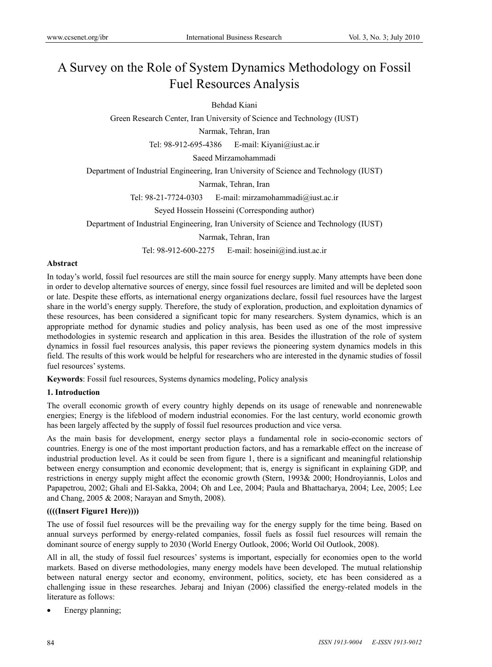# A Survey on the Role of System Dynamics Methodology on Fossil Fuel Resources Analysis

#### Behdad Kiani

Green Research Center, Iran University of Science and Technology (IUST)

Narmak, Tehran, Iran

Tel: 98-912-695-4386 E-mail: Kiyani@iust.ac.ir

Saeed Mirzamohammadi

Department of Industrial Engineering, Iran University of Science and Technology (IUST)

Narmak, Tehran, Iran

Tel: 98-21-7724-0303 E-mail: mirzamohammadi@iust.ac.ir

Seyed Hossein Hosseini (Corresponding author)

Department of Industrial Engineering, Iran University of Science and Technology (IUST)

Narmak, Tehran, Iran

Tel: 98-912-600-2275 E-mail: hoseini@ind.iust.ac.ir

#### **Abstract**

In today's world, fossil fuel resources are still the main source for energy supply. Many attempts have been done in order to develop alternative sources of energy, since fossil fuel resources are limited and will be depleted soon or late. Despite these efforts, as international energy organizations declare, fossil fuel resources have the largest share in the world's energy supply. Therefore, the study of exploration, production, and exploitation dynamics of these resources, has been considered a significant topic for many researchers. System dynamics, which is an appropriate method for dynamic studies and policy analysis, has been used as one of the most impressive methodologies in systemic research and application in this area. Besides the illustration of the role of system dynamics in fossil fuel resources analysis, this paper reviews the pioneering system dynamics models in this field. The results of this work would be helpful for researchers who are interested in the dynamic studies of fossil fuel resources' systems.

**Keywords**: Fossil fuel resources, Systems dynamics modeling, Policy analysis

#### **1. Introduction**

The overall economic growth of every country highly depends on its usage of renewable and nonrenewable energies; Energy is the lifeblood of modern industrial economies. For the last century, world economic growth has been largely affected by the supply of fossil fuel resources production and vice versa.

As the main basis for development, energy sector plays a fundamental role in socio-economic sectors of countries. Energy is one of the most important production factors, and has a remarkable effect on the increase of industrial production level. As it could be seen from figure 1, there is a significant and meaningful relationship between energy consumption and economic development; that is, energy is significant in explaining GDP, and restrictions in energy supply might affect the economic growth (Stern, 1993& 2000; Hondroyiannis, Lolos and Papapetrou, 2002; Ghali and El-Sakka, 2004; Oh and Lee, 2004; Paula and Bhattacharya, 2004; Lee, 2005; Lee and Chang, 2005 & 2008; Narayan and Smyth, 2008).

### **((((Insert Figure1 Here))))**

The use of fossil fuel resources will be the prevailing way for the energy supply for the time being. Based on annual surveys performed by energy-related companies, fossil fuels as fossil fuel resources will remain the dominant source of energy supply to 2030 (World Energy Outlook, 2006; World Oil Outlook, 2008).

All in all, the study of fossil fuel resources' systems is important, especially for economies open to the world markets. Based on diverse methodologies, many energy models have been developed. The mutual relationship between natural energy sector and economy, environment, politics, society, etc has been considered as a challenging issue in these researches. Jebaraj and Iniyan (2006) classified the energy-related models in the literature as follows:

• Energy planning;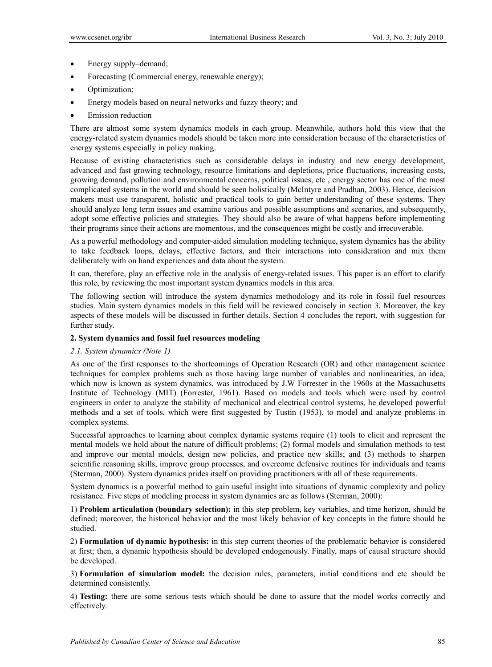- Energy supply–demand;
- Forecasting (Commercial energy, renewable energy);
- Optimization;
- Energy models based on neural networks and fuzzy theory; and
- **Emission** reduction

There are almost some system dynamics models in each group. Meanwhile, authors hold this view that the energy-related system dynamics models should be taken more into consideration because of the characteristics of energy systems especially in policy making.

Because of existing characteristics such as considerable delays in industry and new energy development, advanced and fast growing technology, resource limitations and depletions, price fluctuations, increasing costs, growing demand, pollution and environmental concerns, political issues, etc , energy sector has one of the most complicated systems in the world and should be seen holistically (McIntyre and Pradhan, 2003). Hence, decision makers must use transparent, holistic and practical tools to gain better understanding of these systems. They should analyze long term issues and examine various and possible assumptions and scenarios, and subsequently, adopt some effective policies and strategies. They should also be aware of what happens before implementing their programs since their actions are momentous, and the consequences might be costly and irrecoverable.

As a powerful methodology and computer-aided simulation modeling technique, system dynamics has the ability to take feedback loops, delays, effective factors, and their interactions into consideration and mix them deliberately with on hand experiences and data about the system.

It can, therefore, play an effective role in the analysis of energy-related issues. This paper is an effort to clarify this role, by reviewing the most important system dynamics models in this area.

The following section will introduce the system dynamics methodology and its role in fossil fuel resources studies. Main system dynamics models in this field will be reviewed concisely in section 3. Moreover, the key aspects of these models will be discussed in further details. Section 4 concludes the report, with suggestion for further study.

#### **2. System dynamics and fossil fuel resources modeling**

#### *2.1. System dynamics (Note 1)*

As one of the first responses to the shortcomings of Operation Research (OR) and other management science techniques for complex problems such as those having large number of variables and nonlinearities, an idea, which now is known as system dynamics, was introduced by J.W Forrester in the 1960s at the Massachusetts Institute of Technology (MIT) (Forrester, 1961). Based on models and tools which were used by control engineers in order to analyze the stability of mechanical and electrical control systems, he developed powerful methods and a set of tools, which were first suggested by Tustin (1953), to model and analyze problems in complex systems.

Successful approaches to learning about complex dynamic systems require (1) tools to elicit and represent the mental models we hold about the nature of difficult problems; (2) formal models and simulation methods to test and improve our mental models, design new policies, and practice new skills; and (3) methods to sharpen scientific reasoning skills, improve group processes, and overcome defensive routines for individuals and teams (Sterman, 2000). System dynamics prides itself on providing practitioners with all of these requirements.

System dynamics is a powerful method to gain useful insight into situations of dynamic complexity and policy resistance. Five steps of modeling process in system dynamics are as follows (Sterman, 2000):

1) **Problem articulation (boundary selection):** in this step problem, key variables, and time horizon, should be defined; moreover, the historical behavior and the most likely behavior of key concepts in the future should be studied.

2) **Formulation of dynamic hypothesis:** in this step current theories of the problematic behavior is considered at first; then, a dynamic hypothesis should be developed endogenously. Finally, maps of causal structure should be developed.

3) **Formulation of simulation model:** the decision rules, parameters, initial conditions and etc should be determined consistently.

4) **Testing:** there are some serious tests which should be done to assure that the model works correctly and effectively.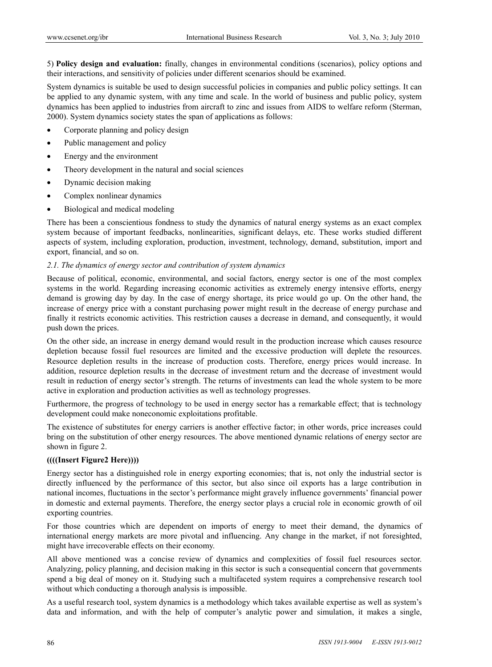5) **Policy design and evaluation:** finally, changes in environmental conditions (scenarios), policy options and their interactions, and sensitivity of policies under different scenarios should be examined.

System dynamics is suitable be used to design successful policies in companies and public policy settings. It can be applied to any dynamic system, with any time and scale. In the world of business and public policy, system dynamics has been applied to industries from aircraft to zinc and issues from AIDS to welfare reform (Sterman, 2000). System dynamics society states the span of applications as follows:

- Corporate planning and policy design
- Public management and policy
- Energy and the environment
- Theory development in the natural and social sciences
- Dynamic decision making
- Complex nonlinear dynamics
- Biological and medical modeling

There has been a conscientious fondness to study the dynamics of natural energy systems as an exact complex system because of important feedbacks, nonlinearities, significant delays, etc. These works studied different aspects of system, including exploration, production, investment, technology, demand, substitution, import and export, financial, and so on.

#### *2.1. The dynamics of energy sector and contribution of system dynamics*

Because of political, economic, environmental, and social factors, energy sector is one of the most complex systems in the world. Regarding increasing economic activities as extremely energy intensive efforts, energy demand is growing day by day. In the case of energy shortage, its price would go up. On the other hand, the increase of energy price with a constant purchasing power might result in the decrease of energy purchase and finally it restricts economic activities. This restriction causes a decrease in demand, and consequently, it would push down the prices.

On the other side, an increase in energy demand would result in the production increase which causes resource depletion because fossil fuel resources are limited and the excessive production will deplete the resources. Resource depletion results in the increase of production costs. Therefore, energy prices would increase. In addition, resource depletion results in the decrease of investment return and the decrease of investment would result in reduction of energy sector's strength. The returns of investments can lead the whole system to be more active in exploration and production activities as well as technology progresses.

Furthermore, the progress of technology to be used in energy sector has a remarkable effect; that is technology development could make noneconomic exploitations profitable.

The existence of substitutes for energy carriers is another effective factor; in other words, price increases could bring on the substitution of other energy resources. The above mentioned dynamic relations of energy sector are shown in figure 2.

#### **((((Insert Figure2 Here))))**

Energy sector has a distinguished role in energy exporting economies; that is, not only the industrial sector is directly influenced by the performance of this sector, but also since oil exports has a large contribution in national incomes, fluctuations in the sector's performance might gravely influence governments' financial power in domestic and external payments. Therefore, the energy sector plays a crucial role in economic growth of oil exporting countries.

For those countries which are dependent on imports of energy to meet their demand, the dynamics of international energy markets are more pivotal and influencing. Any change in the market, if not foresighted, might have irrecoverable effects on their economy.

All above mentioned was a concise review of dynamics and complexities of fossil fuel resources sector. Analyzing, policy planning, and decision making in this sector is such a consequential concern that governments spend a big deal of money on it. Studying such a multifaceted system requires a comprehensive research tool without which conducting a thorough analysis is impossible.

As a useful research tool, system dynamics is a methodology which takes available expertise as well as system's data and information, and with the help of computer's analytic power and simulation, it makes a single,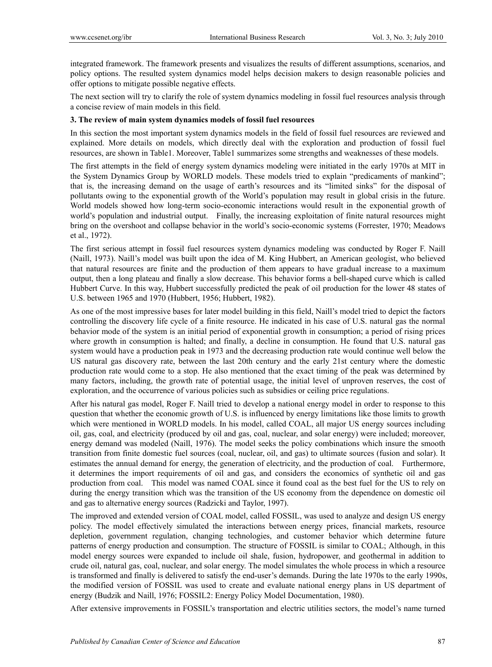integrated framework. The framework presents and visualizes the results of different assumptions, scenarios, and policy options. The resulted system dynamics model helps decision makers to design reasonable policies and offer options to mitigate possible negative effects.

The next section will try to clarify the role of system dynamics modeling in fossil fuel resources analysis through a concise review of main models in this field.

#### **3. The review of main system dynamics models of fossil fuel resources**

In this section the most important system dynamics models in the field of fossil fuel resources are reviewed and explained. More details on models, which directly deal with the exploration and production of fossil fuel resources, are shown in Table1. Moreover, Table1 summarizes some strengths and weaknesses of these models.

The first attempts in the field of energy system dynamics modeling were initiated in the early 1970s at MIT in the System Dynamics Group by WORLD models. These models tried to explain "predicaments of mankind"; that is, the increasing demand on the usage of earth's resources and its "limited sinks" for the disposal of pollutants owing to the exponential growth of the World's population may result in global crisis in the future. World models showed how long-term socio-economic interactions would result in the exponential growth of world's population and industrial output. Finally, the increasing exploitation of finite natural resources might bring on the overshoot and collapse behavior in the world's socio-economic systems (Forrester, 1970; Meadows et al., 1972).

The first serious attempt in fossil fuel resources system dynamics modeling was conducted by Roger F. Naill (Naill, 1973). Naill's model was built upon the idea of M. King Hubbert, an American geologist, who believed that natural resources are finite and the production of them appears to have gradual increase to a maximum output, then a long plateau and finally a slow decrease. This behavior forms a bell-shaped curve which is called Hubbert Curve. In this way, Hubbert successfully predicted the peak of oil production for the lower 48 states of U.S. between 1965 and 1970 (Hubbert, 1956; Hubbert, 1982).

As one of the most impressive bases for later model building in this field, Naill's model tried to depict the factors controlling the discovery life cycle of a finite resource. He indicated in his case of U.S. natural gas the normal behavior mode of the system is an initial period of exponential growth in consumption; a period of rising prices where growth in consumption is halted; and finally, a decline in consumption. He found that U.S. natural gas system would have a production peak in 1973 and the decreasing production rate would continue well below the US natural gas discovery rate, between the last 20th century and the early 21st century where the domestic production rate would come to a stop. He also mentioned that the exact timing of the peak was determined by many factors, including, the growth rate of potential usage, the initial level of unproven reserves, the cost of exploration, and the occurrence of various policies such as subsidies or ceiling price regulations.

After his natural gas model, Roger F. Naill tried to develop a national energy model in order to response to this question that whether the economic growth of U.S. is influenced by energy limitations like those limits to growth which were mentioned in WORLD models. In his model, called COAL, all major US energy sources including oil, gas, coal, and electricity (produced by oil and gas, coal, nuclear, and solar energy) were included; moreover, energy demand was modeled (Naill, 1976). The model seeks the policy combinations which insure the smooth transition from finite domestic fuel sources (coal, nuclear, oil, and gas) to ultimate sources (fusion and solar). It estimates the annual demand for energy, the generation of electricity, and the production of coal. Furthermore, it determines the import requirements of oil and gas, and considers the economics of synthetic oil and gas production from coal. This model was named COAL since it found coal as the best fuel for the US to rely on during the energy transition which was the transition of the US economy from the dependence on domestic oil and gas to alternative energy sources (Radzicki and Taylor, 1997).

The improved and extended version of COAL model, called FOSSIL, was used to analyze and design US energy policy. The model effectively simulated the interactions between energy prices, financial markets, resource depletion, government regulation, changing technologies, and customer behavior which determine future patterns of energy production and consumption. The structure of FOSSIL is similar to COAL; Although, in this model energy sources were expanded to include oil shale, fusion, hydropower, and geothermal in addition to crude oil, natural gas, coal, nuclear, and solar energy. The model simulates the whole process in which a resource is transformed and finally is delivered to satisfy the end-user's demands. During the late 1970s to the early 1990s, the modified version of FOSSIL was used to create and evaluate national energy plans in US department of energy (Budzik and Naill, 1976; FOSSIL2: Energy Policy Model Documentation, 1980).

After extensive improvements in FOSSIL's transportation and electric utilities sectors, the model's name turned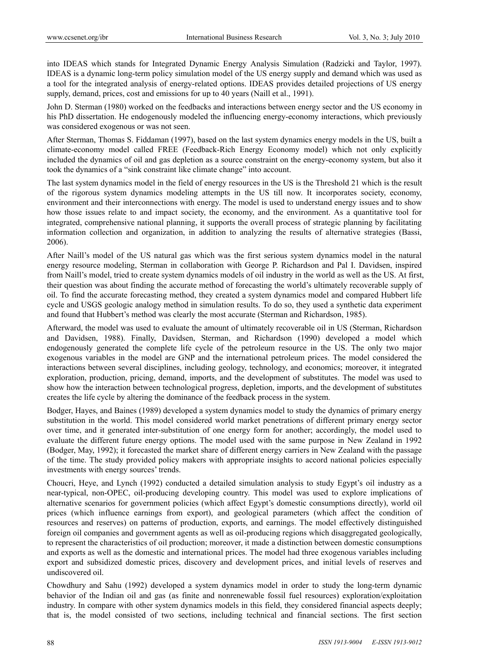into IDEAS which stands for Integrated Dynamic Energy Analysis Simulation (Radzicki and Taylor, 1997). IDEAS is a dynamic long-term policy simulation model of the US energy supply and demand which was used as a tool for the integrated analysis of energy-related options. IDEAS provides detailed projections of US energy supply, demand, prices, cost and emissions for up to 40 years (Naill et al., 1991).

John D. Sterman (1980) worked on the feedbacks and interactions between energy sector and the US economy in his PhD dissertation. He endogenously modeled the influencing energy-economy interactions, which previously was considered exogenous or was not seen.

After Sterman, Thomas S. Fiddaman (1997), based on the last system dynamics energy models in the US, built a climate-economy model called FREE (Feedback-Rich Energy Economy model) which not only explicitly included the dynamics of oil and gas depletion as a source constraint on the energy-economy system, but also it took the dynamics of a "sink constraint like climate change" into account.

The last system dynamics model in the field of energy resources in the US is the Threshold 21 which is the result of the rigorous system dynamics modeling attempts in the US till now. It incorporates society, economy, environment and their interconnections with energy. The model is used to understand energy issues and to show how those issues relate to and impact society, the economy, and the environment. As a quantitative tool for integrated, comprehensive national planning, it supports the overall process of strategic planning by facilitating information collection and organization, in addition to analyzing the results of alternative strategies (Bassi, 2006).

After Naill's model of the US natural gas which was the first serious system dynamics model in the natural energy resource modeling, Sterman in collaboration with George P. Richardson and Pal I. Davidsen, inspired from Naill's model, tried to create system dynamics models of oil industry in the world as well as the US. At first, their question was about finding the accurate method of forecasting the world's ultimately recoverable supply of oil. To find the accurate forecasting method, they created a system dynamics model and compared Hubbert life cycle and USGS geologic analogy method in simulation results. To do so, they used a synthetic data experiment and found that Hubbert's method was clearly the most accurate (Sterman and Richardson, 1985).

Afterward, the model was used to evaluate the amount of ultimately recoverable oil in US (Sterman, Richardson and Davidsen, 1988). Finally, Davidsen, Sterman, and Richardson (1990) developed a model which endogenously generated the complete life cycle of the petroleum resource in the US. The only two major exogenous variables in the model are GNP and the international petroleum prices. The model considered the interactions between several disciplines, including geology, technology, and economics; moreover, it integrated exploration, production, pricing, demand, imports, and the development of substitutes. The model was used to show how the interaction between technological progress, depletion, imports, and the development of substitutes creates the life cycle by altering the dominance of the feedback process in the system.

Bodger, Hayes, and Baines (1989) developed a system dynamics model to study the dynamics of primary energy substitution in the world. This model considered world market penetrations of different primary energy sector over time, and it generated inter-substitution of one energy form for another; accordingly, the model used to evaluate the different future energy options. The model used with the same purpose in New Zealand in 1992 (Bodger, May, 1992); it forecasted the market share of different energy carriers in New Zealand with the passage of the time. The study provided policy makers with appropriate insights to accord national policies especially investments with energy sources' trends.

Choucri, Heye, and Lynch (1992) conducted a detailed simulation analysis to study Egypt's oil industry as a near-typical, non-OPEC, oil-producing developing country. This model was used to explore implications of alternative scenarios for government policies (which affect Egypt's domestic consumptions directly), world oil prices (which influence earnings from export), and geological parameters (which affect the condition of resources and reserves) on patterns of production, exports, and earnings. The model effectively distinguished foreign oil companies and government agents as well as oil-producing regions which disaggregated geologically, to represent the characteristics of oil production; moreover, it made a distinction between domestic consumptions and exports as well as the domestic and international prices. The model had three exogenous variables including export and subsidized domestic prices, discovery and development prices, and initial levels of reserves and undiscovered oil.

Chowdhury and Sahu (1992) developed a system dynamics model in order to study the long-term dynamic behavior of the Indian oil and gas (as finite and nonrenewable fossil fuel resources) exploration/exploitation industry. In compare with other system dynamics models in this field, they considered financial aspects deeply; that is, the model consisted of two sections, including technical and financial sections. The first section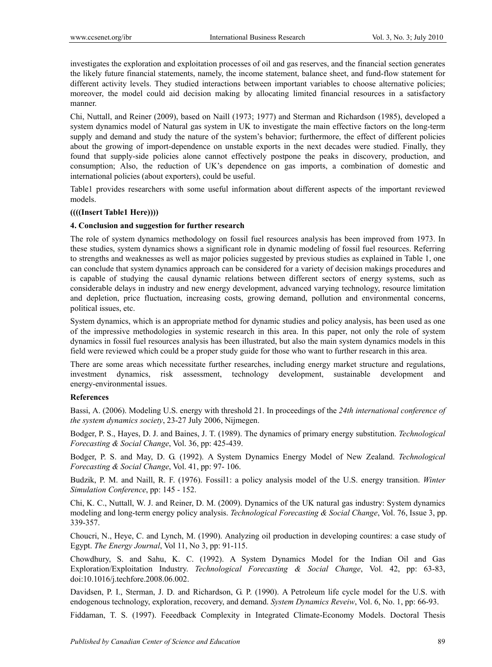investigates the exploration and exploitation processes of oil and gas reserves, and the financial section generates the likely future financial statements, namely, the income statement, balance sheet, and fund-flow statement for different activity levels. They studied interactions between important variables to choose alternative policies; moreover, the model could aid decision making by allocating limited financial resources in a satisfactory manner.

Chi, Nuttall, and Reiner (2009), based on Naill (1973; 1977) and Sterman and Richardson (1985), developed a system dynamics model of Natural gas system in UK to investigate the main effective factors on the long-term supply and demand and study the nature of the system's behavior; furthermore, the effect of different policies about the growing of import-dependence on unstable exports in the next decades were studied. Finally, they found that supply-side policies alone cannot effectively postpone the peaks in discovery, production, and consumption; Also, the reduction of UK's dependence on gas imports, a combination of domestic and international policies (about exporters), could be useful.

Table1 provides researchers with some useful information about different aspects of the important reviewed models.

#### **((((Insert Table1 Here))))**

#### **4. Conclusion and suggestion for further research**

The role of system dynamics methodology on fossil fuel resources analysis has been improved from 1973. In these studies, system dynamics shows a significant role in dynamic modeling of fossil fuel resources. Referring to strengths and weaknesses as well as major policies suggested by previous studies as explained in Table 1, one can conclude that system dynamics approach can be considered for a variety of decision makings procedures and is capable of studying the causal dynamic relations between different sectors of energy systems, such as considerable delays in industry and new energy development, advanced varying technology, resource limitation and depletion, price fluctuation, increasing costs, growing demand, pollution and environmental concerns, political issues, etc.

System dynamics, which is an appropriate method for dynamic studies and policy analysis, has been used as one of the impressive methodologies in systemic research in this area. In this paper, not only the role of system dynamics in fossil fuel resources analysis has been illustrated, but also the main system dynamics models in this field were reviewed which could be a proper study guide for those who want to further research in this area.

There are some areas which necessitate further researches, including energy market structure and regulations, investment dynamics, risk assessment, technology development, sustainable development and energy-environmental issues.

#### **References**

Bassi, A. (2006). Modeling U.S. energy with threshold 21. In proceedings of the *24th international conference of the system dynamics society*, 23-27 July 2006, Nijmegen.

Bodger, P. S., Hayes, D. J. and Baines, J. T. (1989). The dynamics of primary energy substitution. *Technological Forecasting & Social Change*, Vol. 36, pp: 425-439.

Bodger, P. S. and May, D. G. (1992). A System Dynamics Energy Model of New Zealand. *Technological Forecasting & Social Change*, Vol. 41, pp: 97- 106.

Budzik, P. M. and Naill, R. F. (1976). Fossil1: a policy analysis model of the U.S. energy transition. *Winter Simulation Conference*, pp: 145 - 152.

Chi, K. C., Nuttall, W. J. and Reiner, D. M. (2009). Dynamics of the UK natural gas industry: System dynamics modeling and long-term energy policy analysis. *Technological Forecasting & Social Change*, Vol. 76, Issue 3, pp. 339-357.

Choucri, N., Heye, C. and Lynch, M. (1990). Analyzing oil production in developing countires: a case study of Egypt. *The Energy Journal*, Vol 11, No 3, pp: 91-115.

Chowdhury, S. and Sahu, K. C. (1992). A System Dynamics Model for the Indian Oil and Gas Exploration/Exploitation Industry. *Technological Forecasting & Social Change*, Vol. 42, pp: 63-83, doi:10.1016/j.techfore.2008.06.002.

Davidsen, P. I., Sterman, J. D. and Richardson, G. P. (1990). A Petroleum life cycle model for the U.S. with endogenous technology, exploration, recovery, and demand. *System Dynamics Reveiw*, Vol. 6, No. 1, pp: 66-93.

Fiddaman, T. S. (1997). Feeedback Complexity in Integrated Climate-Economy Models. Doctoral Thesis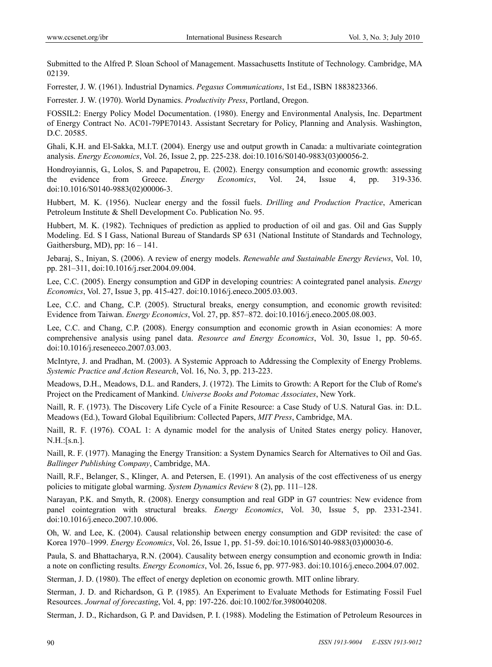Submitted to the Alfred P. Sloan School of Management. Massachusetts Institute of Technology. Cambridge, MA 02139.

Forrester, J. W. (1961). Industrial Dynamics. *Pegasus Communications*, 1st Ed., ISBN 1883823366.

Forrester. J. W. (1970). World Dynamics. *Productivity Press*, Portland, Oregon.

FOSSIL2: Energy Policy Model Documentation. (1980). Energy and Environmental Analysis, Inc. Department of Energy Contract No. AC01-79PE70143. Assistant Secretary for Policy, Planning and Analysis. Washington, D.C. 20585.

Ghali, K.H. and El-Sakka, M.I.T. (2004). Energy use and output growth in Canada: a multivariate cointegration analysis. *Energy Economics*, Vol. 26, Issue 2, pp. 225-238. doi:10.1016/S0140-9883(03)00056-2.

Hondroyiannis, G., Lolos, S. and Papapetrou, E. (2002). Energy consumption and economic growth: assessing the evidence from Greece. *Energy Economics*, Vol. 24, Issue 4, pp. 319-336. doi:10.1016/S0140-9883(02)00006-3.

Hubbert, M. K. (1956). Nuclear energy and the fossil fuels. *Drilling and Production Practice*, American Petroleum Institute & Shell Development Co. Publication No. 95.

Hubbert, M. K. (1982). Techniques of prediction as applied to production of oil and gas. Oil and Gas Supply Modeling. Ed. S I Gass, National Bureau of Standards SP 631 (National Institute of Standards and Technology, Gaithersburg, MD), pp: 16 – 141.

Jebaraj, S., Iniyan, S. (2006). A review of energy models. *Renewable and Sustainable Energy Reviews*, Vol. 10, pp. 281–311, doi:10.1016/j.rser.2004.09.004.

Lee, C.C. (2005). Energy consumption and GDP in developing countries: A cointegrated panel analysis. *Energy Economics*, Vol. 27, Issue 3, pp. 415-427. doi:10.1016/j.eneco.2005.03.003.

Lee, C.C. and Chang, C.P. (2005). Structural breaks, energy consumption, and economic growth revisited: Evidence from Taiwan. *Energy Economics*, Vol. 27, pp. 857–872. doi:10.1016/j.eneco.2005.08.003.

Lee, C.C. and Chang, C.P. (2008). Energy consumption and economic growth in Asian economies: A more comprehensive analysis using panel data. *Resource and Energy Economics*, Vol. 30, Issue 1, pp. 50-65. doi:10.1016/j.reseneeco.2007.03.003.

McIntyre, J. and Pradhan, M. (2003). A Systemic Approach to Addressing the Complexity of Energy Problems. *Systemic Practice and Action Research*, Vol. 16, No. 3, pp. 213-223.

Meadows, D.H., Meadows, D.L. and Randers, J. (1972). The Limits to Growth: A Report for the Club of Rome's Project on the Predicament of Mankind. *Universe Books and Potomac Associates*, New York.

Naill, R. F. (1973). The Discovery Life Cycle of a Finite Resource: a Case Study of U.S. Natural Gas. in: D.L. Meadows (Ed.), Toward Global Equilibrium: Collected Papers, *MIT Press*, Cambridge, MA.

Naill, R. F. (1976). COAL 1: A dynamic model for the analysis of United States energy policy. Hanover, N.H.:[s.n.].

Naill, R. F. (1977). Managing the Energy Transition: a System Dynamics Search for Alternatives to Oil and Gas. *Ballinger Publishing Company*, Cambridge, MA.

Naill, R.F., Belanger, S., Klinger, A. and Petersen, E. (1991). An analysis of the cost effectiveness of us energy policies to mitigate global warming. *System Dynamics Review* 8 (2), pp. 111–128.

Narayan, P.K. and Smyth, R. (2008). Energy consumption and real GDP in G7 countries: New evidence from panel cointegration with structural breaks. *Energy Economics*, Vol. 30, Issue 5, pp. 2331-2341. doi:10.1016/j.eneco.2007.10.006.

Oh, W. and Lee, K. (2004). Causal relationship between energy consumption and GDP revisited: the case of Korea 1970–1999. *Energy Economics*, Vol. 26, Issue 1, pp. 51-59. doi:10.1016/S0140-9883(03)00030-6.

Paula, S. and Bhattacharya, R.N. (2004). Causality between energy consumption and economic growth in India: a note on conflicting results. *Energy Economics*, Vol. 26, Issue 6, pp. 977-983. doi:10.1016/j.eneco.2004.07.002.

Sterman, J. D. (1980). The effect of energy depletion on economic growth. MIT online library.

Sterman, J. D. and Richardson, G. P. (1985). An Experiment to Evaluate Methods for Estimating Fossil Fuel Resources. *Journal of forecasting*, Vol. 4, pp: 197-226. doi:10.1002/for.3980040208.

Sterman, J. D., Richardson, G. P. and Davidsen, P. I. (1988). Modeling the Estimation of Petroleum Resources in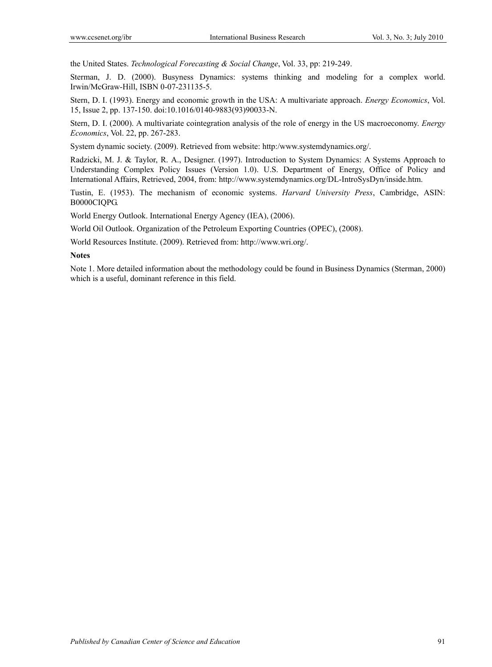the United States. *Technological Forecasting & Social Change*, Vol. 33, pp: 219-249.

Sterman, J. D. (2000). Busyness Dynamics: systems thinking and modeling for a complex world. Irwin/McGraw-Hill, ISBN 0-07-231135-5.

Stern, D. I. (1993). Energy and economic growth in the USA: A multivariate approach. *Energy Economics*, Vol. 15, Issue 2, pp. 137-150. doi:10.1016/0140-9883(93)90033-N.

Stern, D. I. (2000). A multivariate cointegration analysis of the role of energy in the US macroeconomy. *Energy Economics*, Vol. 22, pp. 267-283.

System dynamic society. (2009). Retrieved from website: http:/www.systemdynamics.org/.

Radzicki, M. J. & Taylor, R. A., Designer. (1997). Introduction to System Dynamics: A Systems Approach to Understanding Complex Policy Issues (Version 1.0). U.S. Department of Energy, Office of Policy and International Affairs, Retrieved, 2004, from: http://www.systemdynamics.org/DL-IntroSysDyn/inside.htm.

Tustin, E. (1953). The mechanism of economic systems. *Harvard University Press*, Cambridge, ASIN: B0000CIQPG.

World Energy Outlook. International Energy Agency (IEA), (2006).

World Oil Outlook. Organization of the Petroleum Exporting Countries (OPEC), (2008).

World Resources Institute. (2009). Retrieved from: http://www.wri.org/.

**Notes** 

Note 1. More detailed information about the methodology could be found in Business Dynamics (Sterman, 2000) which is a useful, dominant reference in this field.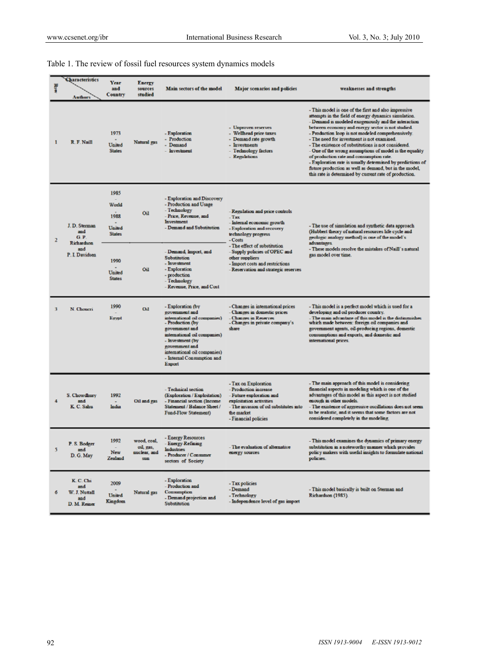## Table 1. The review of fossil fuel resources system dynamics models

| ă              | <b>Characteristics</b><br><b>Authors</b>                          | <b>Year</b><br>and<br><b>Country</b>             | <b>Energy</b><br>sources<br>studied             | Main sectors of the model                                                                                                                                                                                                                               | <b>Major scenarios and policies</b>                                                                                                                                                                                                                                                                  | weaknesses and strengths                                                                                                                                                                                                                                                                                                                                                                                                                                                                                                                                                                                                                                                    |
|----------------|-------------------------------------------------------------------|--------------------------------------------------|-------------------------------------------------|---------------------------------------------------------------------------------------------------------------------------------------------------------------------------------------------------------------------------------------------------------|------------------------------------------------------------------------------------------------------------------------------------------------------------------------------------------------------------------------------------------------------------------------------------------------------|-----------------------------------------------------------------------------------------------------------------------------------------------------------------------------------------------------------------------------------------------------------------------------------------------------------------------------------------------------------------------------------------------------------------------------------------------------------------------------------------------------------------------------------------------------------------------------------------------------------------------------------------------------------------------------|
|                | R. F. Naill                                                       | 1973<br>United<br><b>States</b>                  | Natural gas                                     | - Exploration<br>- Production<br>- Demand<br>- Investment                                                                                                                                                                                               | - Unproven reserves<br>- Wellhead price taxes<br>- Demand rate growth<br>- Investments<br>- Technology factors<br>- Regulations                                                                                                                                                                      | - This model is one of the first and also impressive<br>attempts in the field of energy dynamics simulation.<br>- Demand is modeled exogenously and the interaction<br>between economy and energy sector is not studied.<br>- Production loop is not modeled comprehensively.<br>- The need for investment is not examined.<br>- The existence of substitutions is not considered.<br>- One of the wrong assumptions of model is the equality<br>of production rate and consumption rate.<br>- Exploration rate is usually determined by predictions of<br>future production as well as demand, but in the model,<br>this rate is determined by current rate of production. |
| $\overline{2}$ | J.D. Sterman<br>and<br>G.P<br>Richardson<br>and<br>P. I. Davidsen | 1985<br>World<br>1988<br>United<br><b>States</b> | Oil                                             | - Exploration and Discovery<br>- Production and Usage<br>- Technology<br>- Price, Revenue, and<br>Investment<br>- Demand and Substitution                                                                                                               | - Regulation and price controls<br>$-Tax$<br>- Internal economic growth<br>- Exploration and recovery<br>technology progress<br>- Costs<br>- The effect of substitution<br>Supply policies of OPEC and<br>other suppliers<br>- Import costs and restrictions<br>- Reservation and strategic reserves | - The use of simulation and synthetic data approach<br>(Hubbert theory of natural resources life cycle and<br>geologic analogy method) is one of the model's<br>advantages.<br>- These models resolve the mistakes of Naill's natural<br>gas model over time.                                                                                                                                                                                                                                                                                                                                                                                                               |
|                |                                                                   | 1990<br>United<br><b>States</b>                  | Oil                                             | - Demand, Import, and<br><b>Substitution</b><br>- Investment<br>- Exploration<br>- production<br>- Technology<br>- Revenue, Price, and Cost                                                                                                             |                                                                                                                                                                                                                                                                                                      |                                                                                                                                                                                                                                                                                                                                                                                                                                                                                                                                                                                                                                                                             |
| 3              | N. Choueri                                                        | 1990<br>Egypt                                    | O <sub>1</sub>                                  | - Exploration (by<br>government and<br>international oil companies)<br>- Production (by<br>government and<br>international oil companies)<br>- Investment (by<br>government and<br>international oil companies)<br>- Internal Consumption and<br>Export | - Changes in international prices<br>Changes in domestic prices<br><b>Changes in Reserves</b><br>- Changes in private company's<br>share                                                                                                                                                             | - This model is a perfect model which is used for a<br>developing and oil producer country.<br>The main advantage of this model is the distinguishes<br>which made between: foreign oil companies and<br>government agents, oil-producing regions, domestic<br>consumptions and exports, and domestic and<br>international prices.                                                                                                                                                                                                                                                                                                                                          |
| 4              | S. Chowdhury<br>and<br>K. C. Sahu                                 | 1992<br>India                                    | Oil and gas                                     | - Technical section<br>(Exploration / Exploitation)<br>- Financial section (Income<br>Statement / Balance Sheet /<br><b>Fund-Flow Statement)</b>                                                                                                        | - Tax on Exploration<br>- Production increase<br>- Future exploration and<br>exploitation activities<br>- The invasion of oil substitutes into<br>the market<br>- Financial policies                                                                                                                 | - The main approach of this model is considering<br>financial aspects in modeling which is one of the<br>advantages of this model as this aspect is not studied<br>enough in other models.<br>- The existence of aggressive oscillations does not seem<br>to be realistic, and it seems that some factors are not<br>considered completely in the modeling.                                                                                                                                                                                                                                                                                                                 |
| 5              | P. S. Bodger<br>and<br>D.G. May                                   | 1992<br>New<br>Zealand                           | wood, coal.<br>oil, gas,<br>nuclear, and<br>sun | - Energy Resources<br><b>Energy Refining</b><br>Industries<br>- Producer / Consumer<br>sectors of Society                                                                                                                                               | The evaluation of alternative<br>energy sources                                                                                                                                                                                                                                                      | - This model examines the dynamics of primary energy<br>substitution in a noteworthy manner which provides<br>policy makers with useful insights to formulate national<br>policies.                                                                                                                                                                                                                                                                                                                                                                                                                                                                                         |
| б              | K.C.Chi<br>and<br>W. J. Nuttall<br>and<br>D. M. Remer             | 2009<br>United<br>Kingdom                        | Natural gas                                     | - Exploration<br>- Production and<br>Consumption<br>- Demand projection and<br>Substitution                                                                                                                                                             | - Tax policies<br>- Demand<br>- Technology<br>- Independence level of gas import                                                                                                                                                                                                                     | - This model basically is built on Sterman and<br>Richardson (1985).                                                                                                                                                                                                                                                                                                                                                                                                                                                                                                                                                                                                        |